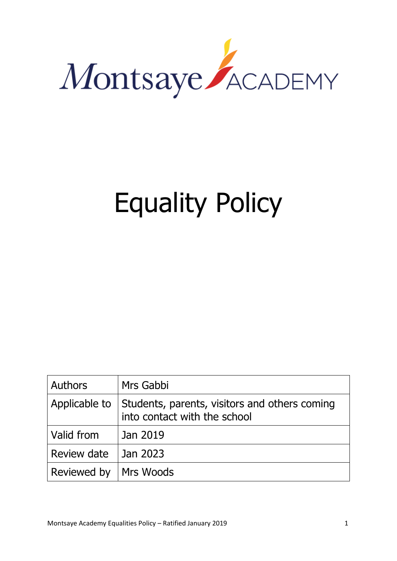

# Equality Policy

| <b>Authors</b> | Mrs Gabbi                                                                     |
|----------------|-------------------------------------------------------------------------------|
| Applicable to  | Students, parents, visitors and others coming<br>into contact with the school |
| Valid from     | Jan 2019                                                                      |
| Review date    | Jan 2023                                                                      |
| Reviewed by    | <b>Mrs Woods</b>                                                              |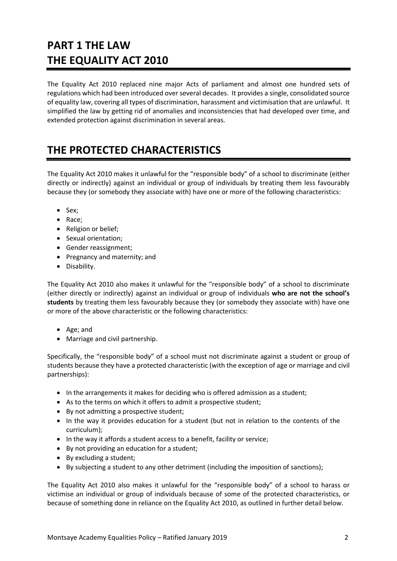# **PART 1 THE LAW THE EQUALITY ACT 2010**

The Equality Act 2010 replaced nine major Acts of parliament and almost one hundred sets of regulations which had been introduced over several decades. It provides a single, consolidated source of equality law, covering all types of discrimination, harassment and victimisation that are unlawful. It simplified the law by getting rid of anomalies and inconsistencies that had developed over time, and extended protection against discrimination in several areas.

# **THE PROTECTED CHARACTERISTICS**

The Equality Act 2010 makes it unlawful for the "responsible body" of a school to discriminate (either directly or indirectly) against an individual or group of individuals by treating them less favourably because they (or somebody they associate with) have one or more of the following characteristics:

- Sex;
- Race;
- Religion or belief;
- Sexual orientation;
- Gender reassignment;
- Pregnancy and maternity; and
- Disability.

The Equality Act 2010 also makes it unlawful for the "responsible body" of a school to discriminate (either directly or indirectly) against an individual or group of individuals **who are not the school's students** by treating them less favourably because they (or somebody they associate with) have one or more of the above characteristic or the following characteristics:

- Age; and
- Marriage and civil partnership.

Specifically, the "responsible body" of a school must not discriminate against a student or group of students because they have a protected characteristic (with the exception of age or marriage and civil partnerships):

- In the arrangements it makes for deciding who is offered admission as a student;
- As to the terms on which it offers to admit a prospective student;
- By not admitting a prospective student;
- In the way it provides education for a student (but not in relation to the contents of the curriculum);
- In the way it affords a student access to a benefit, facility or service;
- By not providing an education for a student;
- By excluding a student;
- By subjecting a student to any other detriment (including the imposition of sanctions);

The Equality Act 2010 also makes it unlawful for the "responsible body" of a school to harass or victimise an individual or group of individuals because of some of the protected characteristics, or because of something done in reliance on the Equality Act 2010, as outlined in further detail below.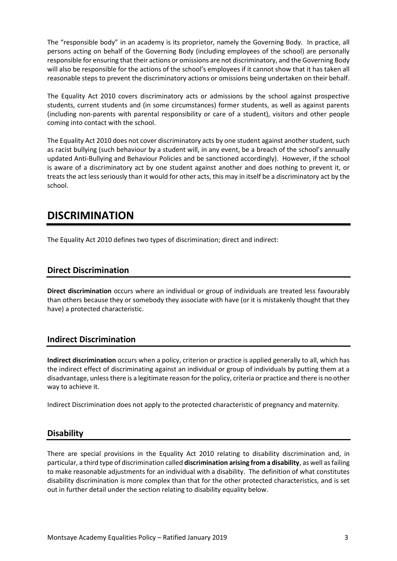The "responsible body" in an academy is its proprietor, namely the Governing Body. In practice, all persons acting on behalf of the Governing Body (including employees of the school) are personally responsible for ensuring that their actions or omissions are not discriminatory, and the Governing Body will also be responsible for the actions of the school's employees if it cannot show that it has taken all reasonable steps to prevent the discriminatory actions or omissions being undertaken on their behalf.

The Equality Act 2010 covers discriminatory acts or admissions by the school against prospective students, current students and (in some circumstances) former students, as well as against parents (including non-parents with parental responsibility or care of a student), visitors and other people coming into contact with the school.

The Equality Act 2010 does not cover discriminatory acts by one student against another student, such as racist bullying (such behaviour by a student will, in any event, be a breach of the school's annually updated Anti-Bullying and Behaviour Policies and be sanctioned accordingly). However, if the school is aware of a discriminatory act by one student against another and does nothing to prevent it, or treats the act less seriously than it would for other acts, this may in itself be a discriminatory act by the school.

#### **DISCRIMINATION**

The Equality Act 2010 defines two types of discrimination; direct and indirect:

#### **Direct Discrimination**

**Direct discrimination** occurs where an individual or group of individuals are treated less favourably than others because they or somebody they associate with have (or it is mistakenly thought that they have) a protected characteristic.

#### **Indirect Discrimination**

**Indirect discrimination** occurs when a policy, criterion or practice is applied generally to all, which has the indirect effect of discriminating against an individual or group of individuals by putting them at a disadvantage, unless there is a legitimate reason for the policy, criteria or practice and there is no other way to achieve it.

Indirect Discrimination does not apply to the protected characteristic of pregnancy and maternity.

#### **Disability**

There are special provisions in the Equality Act 2010 relating to disability discrimination and, in particular, a third type of discrimination called **discrimination arising from a disability**, as well as failing to make reasonable adjustments for an individual with a disability. The definition of what constitutes disability discrimination is more complex than that for the other protected characteristics, and is set out in further detail under the section relating to disability equality below.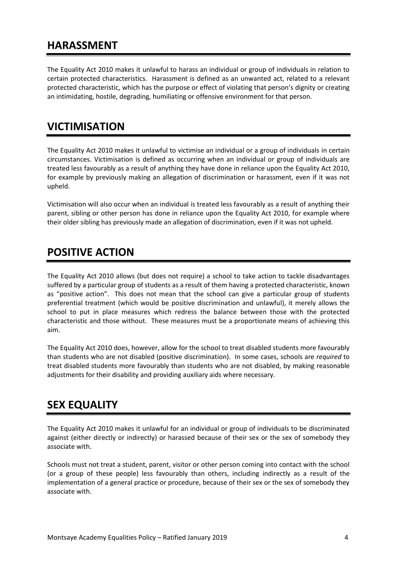# **HARASSMENT**

The Equality Act 2010 makes it unlawful to harass an individual or group of individuals in relation to certain protected characteristics. Harassment is defined as an unwanted act, related to a relevant protected characteristic, which has the purpose or effect of violating that person's dignity or creating an intimidating, hostile, degrading, humiliating or offensive environment for that person.

## **VICTIMISATION**

The Equality Act 2010 makes it unlawful to victimise an individual or a group of individuals in certain circumstances. Victimisation is defined as occurring when an individual or group of individuals are treated less favourably as a result of anything they have done in reliance upon the Equality Act 2010, for example by previously making an allegation of discrimination or harassment, even if it was not upheld.

Victimisation will also occur when an individual is treated less favourably as a result of anything their parent, sibling or other person has done in reliance upon the Equality Act 2010, for example where their older sibling has previously made an allegation of discrimination, even if it was not upheld.

#### **POSITIVE ACTION**

The Equality Act 2010 allows (but does not require) a school to take action to tackle disadvantages suffered by a particular group of students as a result of them having a protected characteristic, known as "positive action". This does not mean that the school can give a particular group of students preferential treatment (which would be positive discrimination and unlawful), it merely allows the school to put in place measures which redress the balance between those with the protected characteristic and those without. These measures must be a proportionate means of achieving this aim.

The Equality Act 2010 does, however, allow for the school to treat disabled students more favourably than students who are not disabled (positive discrimination). In some cases, schools are *required* to treat disabled students more favourably than students who are not disabled, by making reasonable adjustments for their disability and providing auxiliary aids where necessary.

#### **SEX EQUALITY**

The Equality Act 2010 makes it unlawful for an individual or group of individuals to be discriminated against (either directly or indirectly) or harassed because of their sex or the sex of somebody they associate with.

Schools must not treat a student, parent, visitor or other person coming into contact with the school (or a group of these people) less favourably than others, including indirectly as a result of the implementation of a general practice or procedure, because of their sex or the sex of somebody they associate with.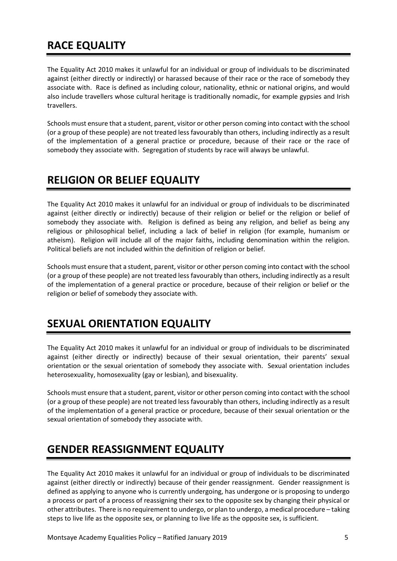# **RACE EQUALITY**

The Equality Act 2010 makes it unlawful for an individual or group of individuals to be discriminated against (either directly or indirectly) or harassed because of their race or the race of somebody they associate with. Race is defined as including colour, nationality, ethnic or national origins, and would also include travellers whose cultural heritage is traditionally nomadic, for example gypsies and Irish travellers.

Schools must ensure that a student, parent, visitor or other person coming into contact with the school (or a group of these people) are not treated less favourably than others, including indirectly as a result of the implementation of a general practice or procedure, because of their race or the race of somebody they associate with. Segregation of students by race will always be unlawful.

# **RELIGION OR BELIEF EQUALITY**

The Equality Act 2010 makes it unlawful for an individual or group of individuals to be discriminated against (either directly or indirectly) because of their religion or belief or the religion or belief of somebody they associate with. Religion is defined as being any religion, and belief as being any religious or philosophical belief, including a lack of belief in religion (for example, humanism or atheism). Religion will include all of the major faiths, including denomination within the religion. Political beliefs are not included within the definition of religion or belief.

Schools must ensure that a student, parent, visitor or other person coming into contact with the school (or a group of these people) are not treated less favourably than others, including indirectly as a result of the implementation of a general practice or procedure, because of their religion or belief or the religion or belief of somebody they associate with.

# **SEXUAL ORIENTATION EQUALITY**

The Equality Act 2010 makes it unlawful for an individual or group of individuals to be discriminated against (either directly or indirectly) because of their sexual orientation, their parents' sexual orientation or the sexual orientation of somebody they associate with. Sexual orientation includes heterosexuality, homosexuality (gay or lesbian), and bisexuality.

Schools must ensure that a student, parent, visitor or other person coming into contact with the school (or a group of these people) are not treated less favourably than others, including indirectly as a result of the implementation of a general practice or procedure, because of their sexual orientation or the sexual orientation of somebody they associate with.

# **GENDER REASSIGNMENT EQUALITY**

The Equality Act 2010 makes it unlawful for an individual or group of individuals to be discriminated against (either directly or indirectly) because of their gender reassignment. Gender reassignment is defined as applying to anyone who is currently undergoing, has undergone or is proposing to undergo a process or part of a process of reassigning their sex to the opposite sex by changing their physical or other attributes. There is no requirement to undergo, or plan to undergo, a medical procedure – taking steps to live life as the opposite sex, or planning to live life as the opposite sex, is sufficient.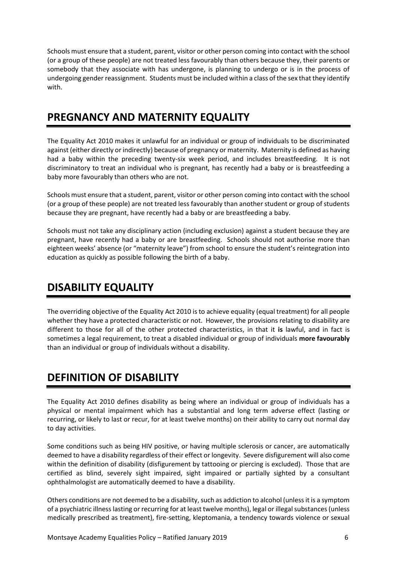Schools must ensure that a student, parent, visitor or other person coming into contact with the school (or a group of these people) are not treated less favourably than others because they, their parents or somebody that they associate with has undergone, is planning to undergo or is in the process of undergoing gender reassignment. Students must be included within a class of the sex that they identify with.

# **PREGNANCY AND MATERNITY EQUALITY**

The Equality Act 2010 makes it unlawful for an individual or group of individuals to be discriminated against (either directly or indirectly) because of pregnancy or maternity. Maternity is defined as having had a baby within the preceding twenty-six week period, and includes breastfeeding. It is not discriminatory to treat an individual who is pregnant, has recently had a baby or is breastfeeding a baby more favourably than others who are not.

Schools must ensure that a student, parent, visitor or other person coming into contact with the school (or a group of these people) are not treated less favourably than another student or group of students because they are pregnant, have recently had a baby or are breastfeeding a baby.

Schools must not take any disciplinary action (including exclusion) against a student because they are pregnant, have recently had a baby or are breastfeeding. Schools should not authorise more than eighteen weeks' absence (or "maternity leave") from school to ensure the student's reintegration into education as quickly as possible following the birth of a baby.

#### **DISABILITY EQUALITY**

The overriding objective of the Equality Act 2010 is to achieve equality (equal treatment) for all people whether they have a protected characteristic or not. However, the provisions relating to disability are different to those for all of the other protected characteristics, in that it **is** lawful, and in fact is sometimes a legal requirement, to treat a disabled individual or group of individuals **more favourably** than an individual or group of individuals without a disability.

# **DEFINITION OF DISABILITY**

The Equality Act 2010 defines disability as being where an individual or group of individuals has a physical or mental impairment which has a substantial and long term adverse effect (lasting or recurring, or likely to last or recur, for at least twelve months) on their ability to carry out normal day to day activities.

Some conditions such as being HIV positive, or having multiple sclerosis or cancer, are automatically deemed to have a disability regardless of their effect or longevity. Severe disfigurement will also come within the definition of disability (disfigurement by tattooing or piercing is excluded). Those that are certified as blind, severely sight impaired, sight impaired or partially sighted by a consultant ophthalmologist are automatically deemed to have a disability.

Others conditions are not deemed to be a disability, such as addiction to alcohol (unless it is a symptom of a psychiatric illness lasting or recurring for at least twelve months), legal or illegal substances (unless medically prescribed as treatment), fire-setting, kleptomania, a tendency towards violence or sexual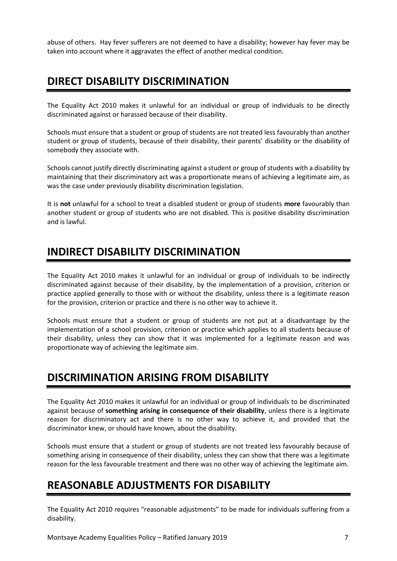abuse of others. Hay fever sufferers are not deemed to have a disability; however hay fever may be taken into account where it aggravates the effect of another medical condition.

## **DIRECT DISABILITY DISCRIMINATION**

The Equality Act 2010 makes it unlawful for an individual or group of individuals to be directly discriminated against or harassed because of their disability.

Schools must ensure that a student or group of students are not treated less favourably than another student or group of students, because of their disability, their parents' disability or the disability of somebody they associate with.

Schools cannot justify directly discriminating against a student or group of students with a disability by maintaining that their discriminatory act was a proportionate means of achieving a legitimate aim, as was the case under previously disability discrimination legislation.

It is **not** unlawful for a school to treat a disabled student or group of students **more** favourably than another student or group of students who are not disabled. This is positive disability discrimination and is lawful.

#### **INDIRECT DISABILITY DISCRIMINATION**

The Equality Act 2010 makes it unlawful for an individual or group of individuals to be indirectly discriminated against because of their disability, by the implementation of a provision, criterion or practice applied generally to those with or without the disability, unless there is a legitimate reason for the provision, criterion or practice and there is no other way to achieve it.

Schools must ensure that a student or group of students are not put at a disadvantage by the implementation of a school provision, criterion or practice which applies to all students because of their disability, unless they can show that it was implemented for a legitimate reason and was proportionate way of achieving the legitimate aim.

#### **DISCRIMINATION ARISING FROM DISABILITY**

The Equality Act 2010 makes it unlawful for an individual or group of individuals to be discriminated against because of **something arising in consequence of their disability**, unless there is a legitimate reason for discriminatory act and there is no other way to achieve it, and provided that the discriminator knew, or should have known, about the disability.

Schools must ensure that a student or group of students are not treated less favourably because of something arising in consequence of their disability, unless they can show that there was a legitimate reason for the less favourable treatment and there was no other way of achieving the legitimate aim.

#### **REASONABLE ADJUSTMENTS FOR DISABILITY**

The Equality Act 2010 requires "reasonable adjustments" to be made for individuals suffering from a disability.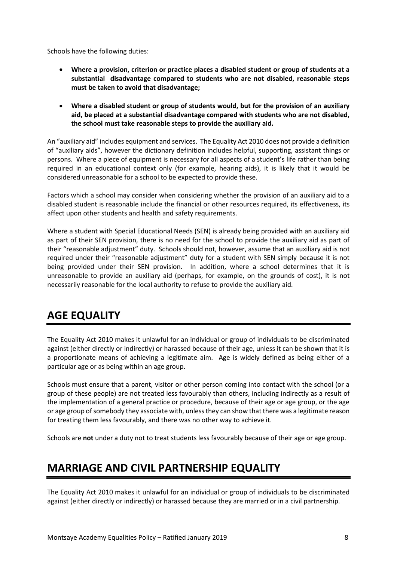Schools have the following duties:

- **Where a provision, criterion or practice places a disabled student or group of students at a substantial disadvantage compared to students who are not disabled, reasonable steps must be taken to avoid that disadvantage;**
- **Where a disabled student or group of students would, but for the provision of an auxiliary aid, be placed at a substantial disadvantage compared with students who are not disabled, the school must take reasonable steps to provide the auxiliary aid.**

An "auxiliary aid" includes equipment and services. The Equality Act 2010 does not provide a definition of "auxiliary aids", however the dictionary definition includes helpful, supporting, assistant things or persons. Where a piece of equipment is necessary for all aspects of a student's life rather than being required in an educational context only (for example, hearing aids), it is likely that it would be considered unreasonable for a school to be expected to provide these.

Factors which a school may consider when considering whether the provision of an auxiliary aid to a disabled student is reasonable include the financial or other resources required, its effectiveness, its affect upon other students and health and safety requirements.

Where a student with Special Educational Needs (SEN) is already being provided with an auxiliary aid as part of their SEN provision, there is no need for the school to provide the auxiliary aid as part of their "reasonable adjustment" duty. Schools should not, however, assume that an auxiliary aid is not required under their "reasonable adjustment" duty for a student with SEN simply because it is not being provided under their SEN provision. In addition, where a school determines that it is unreasonable to provide an auxiliary aid (perhaps, for example, on the grounds of cost), it is not necessarily reasonable for the local authority to refuse to provide the auxiliary aid.

# **AGE EQUALITY**

The Equality Act 2010 makes it unlawful for an individual or group of individuals to be discriminated against (either directly or indirectly) or harassed because of their age, unless it can be shown that it is a proportionate means of achieving a legitimate aim. Age is widely defined as being either of a particular age or as being within an age group.

Schools must ensure that a parent, visitor or other person coming into contact with the school (or a group of these people) are not treated less favourably than others, including indirectly as a result of the implementation of a general practice or procedure, because of their age or age group, or the age or age group of somebody they associate with, unless they can show that there was a legitimate reason for treating them less favourably, and there was no other way to achieve it.

Schools are **not** under a duty not to treat students less favourably because of their age or age group.

#### **MARRIAGE AND CIVIL PARTNERSHIP EQUALITY**

The Equality Act 2010 makes it unlawful for an individual or group of individuals to be discriminated against (either directly or indirectly) or harassed because they are married or in a civil partnership.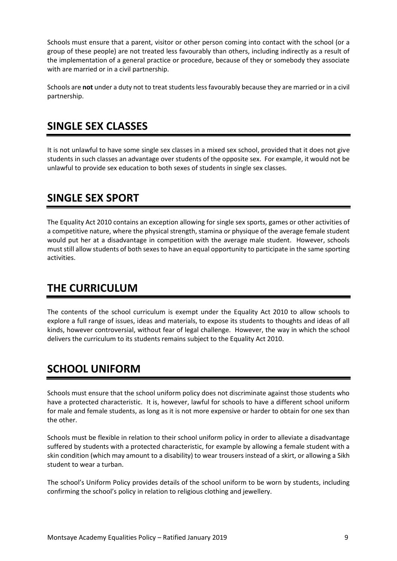Schools must ensure that a parent, visitor or other person coming into contact with the school (or a group of these people) are not treated less favourably than others, including indirectly as a result of the implementation of a general practice or procedure, because of they or somebody they associate with are married or in a civil partnership.

Schools are **not** under a duty not to treat students less favourably because they are married or in a civil partnership.

# **SINGLE SEX CLASSES**

It is not unlawful to have some single sex classes in a mixed sex school, provided that it does not give students in such classes an advantage over students of the opposite sex. For example, it would not be unlawful to provide sex education to both sexes of students in single sex classes.

#### **SINGLE SEX SPORT**

The Equality Act 2010 contains an exception allowing for single sex sports, games or other activities of a competitive nature, where the physical strength, stamina or physique of the average female student would put her at a disadvantage in competition with the average male student. However, schools must still allow students of both sexes to have an equal opportunity to participate in the same sporting activities.

# **THE CURRICULUM**

The contents of the school curriculum is exempt under the Equality Act 2010 to allow schools to explore a full range of issues, ideas and materials, to expose its students to thoughts and ideas of all kinds, however controversial, without fear of legal challenge. However, the way in which the school delivers the curriculum to its students remains subject to the Equality Act 2010.

#### **SCHOOL UNIFORM**

Schools must ensure that the school uniform policy does not discriminate against those students who have a protected characteristic. It is, however, lawful for schools to have a different school uniform for male and female students, as long as it is not more expensive or harder to obtain for one sex than the other.

Schools must be flexible in relation to their school uniform policy in order to alleviate a disadvantage suffered by students with a protected characteristic, for example by allowing a female student with a skin condition (which may amount to a disability) to wear trousers instead of a skirt, or allowing a Sikh student to wear a turban.

The school's Uniform Policy provides details of the school uniform to be worn by students, including confirming the school's policy in relation to religious clothing and jewellery.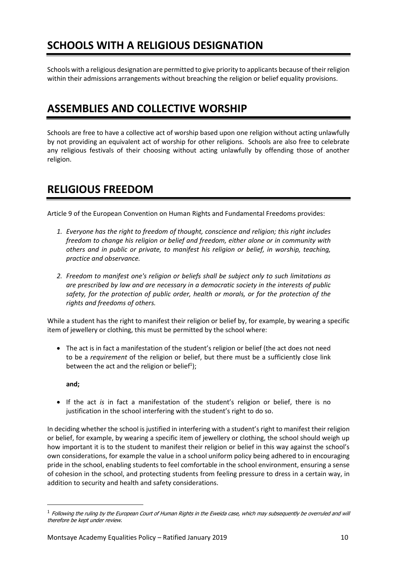# **SCHOOLS WITH A RELIGIOUS DESIGNATION**

Schools with a religious designation are permitted to give priority to applicants because of their religion within their admissions arrangements without breaching the religion or belief equality provisions.

#### **ASSEMBLIES AND COLLECTIVE WORSHIP**

Schools are free to have a collective act of worship based upon one religion without acting unlawfully by not providing an equivalent act of worship for other religions. Schools are also free to celebrate any religious festivals of their choosing without acting unlawfully by offending those of another religion.

#### **RELIGIOUS FREEDOM**

Article 9 of the European Convention on Human Rights and Fundamental Freedoms provides:

- *1. Everyone has the right to freedom of thought, conscience and religion; this right includes freedom to change his religion or belief and freedom, either alone or in community with others and in public or private, to manifest his religion or belief, in worship, teaching, practice and observance.*
- *2. Freedom to manifest one's religion or beliefs shall be subject only to such limitations as are prescribed by law and are necessary in a democratic society in the interests of public*  safety, for the protection of public order, health or morals, or for the protection of the *rights and freedoms of others.*

While a student has the right to manifest their religion or belief by, for example, by wearing a specific item of jewellery or clothing, this must be permitted by the school where:

 The act is in fact a manifestation of the student's religion or belief (the act does not need to be a *requirement* of the religion or belief, but there must be a sufficiently close link between the act and the religion or belief<sup>1</sup>);

**and;**

 $\overline{a}$ 

 If the act *is* in fact a manifestation of the student's religion or belief, there is no justification in the school interfering with the student's right to do so.

In deciding whether the school is justified in interfering with a student's right to manifest their religion or belief, for example, by wearing a specific item of jewellery or clothing, the school should weigh up how important it is to the student to manifest their religion or belief in this way against the school's own considerations, for example the value in a school uniform policy being adhered to in encouraging pride in the school, enabling students to feel comfortable in the school environment, ensuring a sense of cohesion in the school, and protecting students from feeling pressure to dress in a certain way, in addition to security and health and safety considerations.

 $^1$  Following the ruling by the European Court of Human Rights in the Eweida case, which may subsequently be overruled and will therefore be kept under review.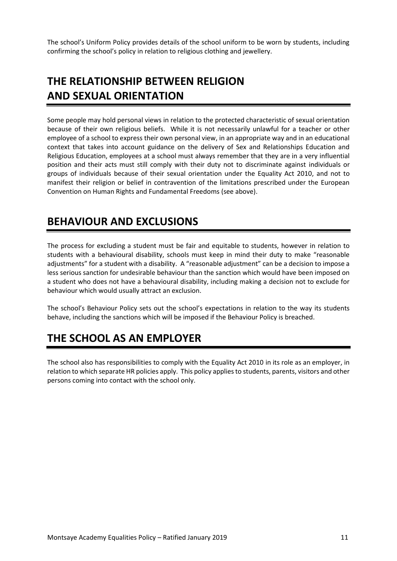The school's Uniform Policy provides details of the school uniform to be worn by students, including confirming the school's policy in relation to religious clothing and jewellery.

# **THE RELATIONSHIP BETWEEN RELIGION AND SEXUAL ORIENTATION**

Some people may hold personal views in relation to the protected characteristic of sexual orientation because of their own religious beliefs. While it is not necessarily unlawful for a teacher or other employee of a school to express their own personal view, in an appropriate way and in an educational context that takes into account guidance on the delivery of Sex and Relationships Education and Religious Education, employees at a school must always remember that they are in a very influential position and their acts must still comply with their duty not to discriminate against individuals or groups of individuals because of their sexual orientation under the Equality Act 2010, and not to manifest their religion or belief in contravention of the limitations prescribed under the European Convention on Human Rights and Fundamental Freedoms (see above).

# **BEHAVIOUR AND EXCLUSIONS**

The process for excluding a student must be fair and equitable to students, however in relation to students with a behavioural disability, schools must keep in mind their duty to make "reasonable adjustments" for a student with a disability. A "reasonable adjustment" can be a decision to impose a less serious sanction for undesirable behaviour than the sanction which would have been imposed on a student who does not have a behavioural disability, including making a decision not to exclude for behaviour which would usually attract an exclusion.

The school's Behaviour Policy sets out the school's expectations in relation to the way its students behave, including the sanctions which will be imposed if the Behaviour Policy is breached.

# **THE SCHOOL AS AN EMPLOYER**

The school also has responsibilities to comply with the Equality Act 2010 in its role as an employer, in relation to which separate HR policies apply. This policy applies to students, parents, visitors and other persons coming into contact with the school only.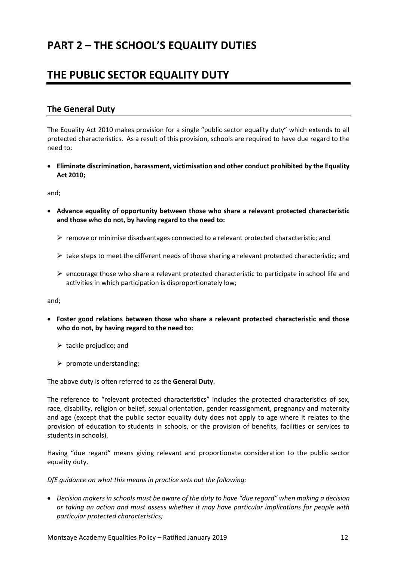### **PART 2 – THE SCHOOL'S EQUALITY DUTIES**

# **THE PUBLIC SECTOR EQUALITY DUTY**

#### **The General Duty**

The Equality Act 2010 makes provision for a single "public sector equality duty" which extends to all protected characteristics. As a result of this provision, schools are required to have due regard to the need to:

 **Eliminate discrimination, harassment, victimisation and other conduct prohibited by the Equality Act 2010;**

and;

- **Advance equality of opportunity between those who share a relevant protected characteristic and those who do not, by having regard to the need to:**
	- $\triangleright$  remove or minimise disadvantages connected to a relevant protected characteristic; and
	- $\triangleright$  take steps to meet the different needs of those sharing a relevant protected characteristic; and
	- $\triangleright$  encourage those who share a relevant protected characteristic to participate in school life and activities in which participation is disproportionately low;

and;

- **Foster good relations between those who share a relevant protected characteristic and those who do not, by having regard to the need to:**
	- $\triangleright$  tackle prejudice; and
	- $\triangleright$  promote understanding;

The above duty is often referred to as the **General Duty**.

The reference to "relevant protected characteristics" includes the protected characteristics of sex, race, disability, religion or belief, sexual orientation, gender reassignment, pregnancy and maternity and age (except that the public sector equality duty does not apply to age where it relates to the provision of education to students in schools, or the provision of benefits, facilities or services to students in schools).

Having "due regard" means giving relevant and proportionate consideration to the public sector equality duty.

*DfE guidance on what this means in practice sets out the following:*

**•** Decision makers in schools must be aware of the duty to have "due regard" when making a decision *or taking an action and must assess whether it may have particular implications for people with particular protected characteristics;*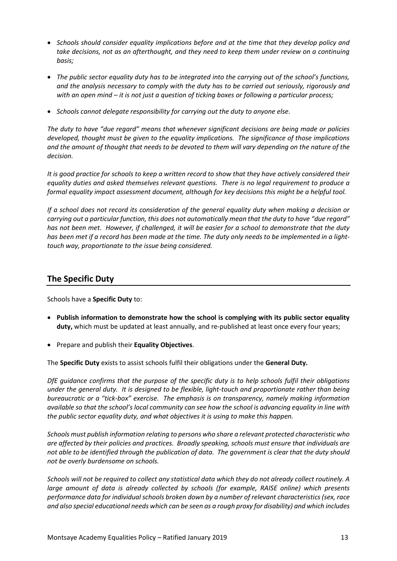- *Schools should consider equality implications before and at the time that they develop policy and take decisions, not as an afterthought, and they need to keep them under review on a continuing basis;*
- *The public sector equality duty has to be integrated into the carrying out of the school's functions, and the analysis necessary to comply with the duty has to be carried out seriously, rigorously and with an open mind – it is not just a question of ticking boxes or following a particular process;*
- *Schools cannot delegate responsibility for carrying out the duty to anyone else.*

*The duty to have "due regard" means that whenever significant decisions are being made or policies developed, thought must be given to the equality implications. The significance of those implications and the amount of thought that needs to be devoted to them will vary depending on the nature of the decision.* 

*It is good practice for schools to keep a written record to show that they have actively considered their equality duties and asked themselves relevant questions. There is no legal requirement to produce a formal equality impact assessment document, although for key decisions this might be a helpful tool.* 

*If a school does not record its consideration of the general equality duty when making a decision or carrying out a particular function, this does not automatically mean that the duty to have "due regard" has not been met. However, if challenged, it will be easier for a school to demonstrate that the duty has been met if a record has been made at the time. The duty only needs to be implemented in a lighttouch way, proportionate to the issue being considered.*

#### **The Specific Duty**

Schools have a **Specific Duty** to:

- **Publish information to demonstrate how the school is complying with its public sector equality duty,** which must be updated at least annually, and re-published at least once every four years;
- Prepare and publish their **Equality Objectives**.

The **Specific Duty** exists to assist schools fulfil their obligations under the **General Duty.** 

*DfE guidance confirms that the purpose of the specific duty is to help schools fulfil their obligations under the general duty. It is designed to be flexible, light-touch and proportionate rather than being bureaucratic or a "tick-box" exercise. The emphasis is on transparency, namely making information available so that the school's local community can see how the school is advancing equality in line with the public sector equality duty, and what objectives it is using to make this happen.*

*Schools must publish information relating to persons who share a relevant protected characteristic who are affected by their policies and practices. Broadly speaking, schools must ensure that individuals are not able to be identified through the publication of data. The government is clear that the duty should not be overly burdensome on schools.* 

*Schools will not be required to collect any statistical data which they do not already collect routinely. A large amount of data is already collected by schools (for example, RAISE online) which presents performance data for individual schools broken down by a number of relevant characteristics (sex, race and also special educational needs which can be seen as a rough proxy for disability) and which includes*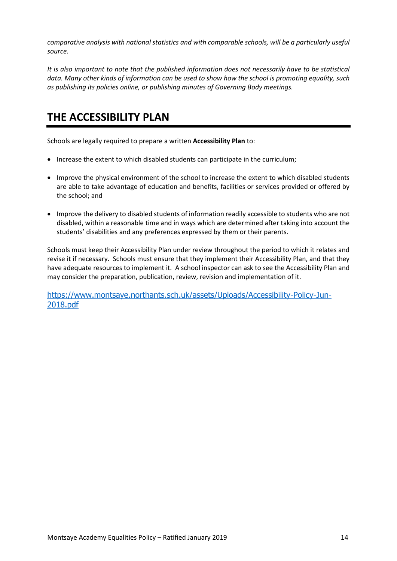*comparative analysis with national statistics and with comparable schools, will be a particularly useful source.*

*It is also important to note that the published information does not necessarily have to be statistical data. Many other kinds of information can be used to show how the school is promoting equality, such as publishing its policies online, or publishing minutes of Governing Body meetings.*

# **THE ACCESSIBILITY PLAN**

Schools are legally required to prepare a written **Accessibility Plan** to:

- Increase the extent to which disabled students can participate in the curriculum;
- Improve the physical environment of the school to increase the extent to which disabled students are able to take advantage of education and benefits, facilities or services provided or offered by the school; and
- Improve the delivery to disabled students of information readily accessible to students who are not disabled, within a reasonable time and in ways which are determined after taking into account the students' disabilities and any preferences expressed by them or their parents.

Schools must keep their Accessibility Plan under review throughout the period to which it relates and revise it if necessary. Schools must ensure that they implement their Accessibility Plan, and that they have adequate resources to implement it. A school inspector can ask to see the Accessibility Plan and may consider the preparation, publication, review, revision and implementation of it.

[https://www.montsaye.northants.sch.uk/assets/Uploads/Accessibility-Policy-Jun-](https://www.montsaye.northants.sch.uk/assets/Uploads/Accessibility-Policy-Jun-2018.pdf)[2018.pdf](https://www.montsaye.northants.sch.uk/assets/Uploads/Accessibility-Policy-Jun-2018.pdf)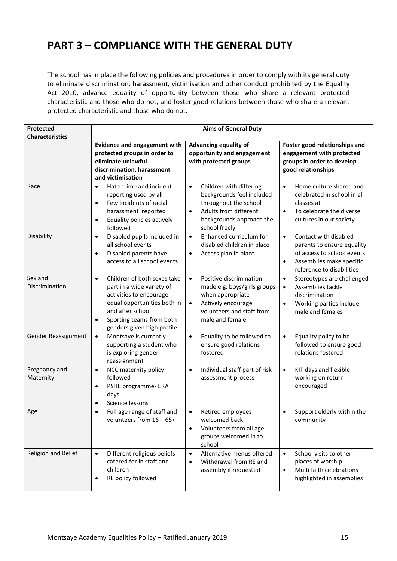#### **PART 3 – COMPLIANCE WITH THE GENERAL DUTY**

The school has in place the following policies and procedures in order to comply with its general duty to eliminate discrimination, harassment, victimisation and other conduct prohibited by the Equality Act 2010, advance equality of opportunity between those who share a relevant protected characteristic and those who do not, and foster good relations between those who share a relevant protected characteristic and those who do not.

| Protected<br><b>Characteristics</b> | <b>Aims of General Duty</b>                                                                                                                                                                                                |                                                                                                                                                                               |                                                                                                                                                                      |  |  |
|-------------------------------------|----------------------------------------------------------------------------------------------------------------------------------------------------------------------------------------------------------------------------|-------------------------------------------------------------------------------------------------------------------------------------------------------------------------------|----------------------------------------------------------------------------------------------------------------------------------------------------------------------|--|--|
|                                     | <b>Evidence and engagement with</b><br>protected groups in order to<br>eliminate unlawful<br>discrimination, harassment<br>and victimisation                                                                               | <b>Advancing equality of</b><br>opportunity and engagement<br>with protected groups                                                                                           | Foster good relationships and<br>engagement with protected<br>groups in order to develop<br>good relationships                                                       |  |  |
| Race                                | Hate crime and incident<br>$\bullet$<br>reporting used by all<br>Few incidents of racial<br>$\bullet$<br>harassment reported<br>Equality policies actively<br>$\bullet$<br>followed                                        | Children with differing<br>$\bullet$<br>backgrounds feel included<br>throughout the school<br>Adults from different<br>$\bullet$<br>backgrounds approach the<br>school freely | Home culture shared and<br>$\bullet$<br>celebrated in school in all<br>classes at<br>To celebrate the diverse<br>$\bullet$<br>cultures in our society                |  |  |
| Disability                          | Disabled pupils included in<br>$\bullet$<br>all school events<br>Disabled parents have<br>$\bullet$<br>access to all school events                                                                                         | Enhanced curriculum for<br>$\bullet$<br>disabled children in place<br>Access plan in place<br>$\bullet$                                                                       | Contact with disabled<br>$\bullet$<br>parents to ensure equality<br>of access to school events<br>Assemblies make specific<br>$\bullet$<br>reference to disabilities |  |  |
| Sex and<br>Discrimination           | Children of both sexes take<br>$\bullet$<br>part in a wide variety of<br>activities to encourage<br>equal opportunities both in<br>and after school<br>Sporting teams from both<br>$\bullet$<br>genders given high profile | Positive discrimination<br>$\bullet$<br>made e.g. boys/girls groups<br>when appropriate<br>Actively encourage<br>$\bullet$<br>volunteers and staff from<br>male and female    | $\bullet$<br>Stereotypes are challenged<br>Assemblies tackle<br>$\bullet$<br>discrimination<br>Working parties include<br>$\bullet$<br>male and females              |  |  |
| Gender Reassignment                 | Montsaye is currently<br>$\bullet$<br>supporting a student who<br>is exploring gender<br>reassignment                                                                                                                      | $\bullet$<br>Equality to be followed to<br>ensure good relations<br>fostered                                                                                                  | Equality policy to be<br>$\bullet$<br>followed to ensure good<br>relations fostered                                                                                  |  |  |
| Pregnancy and<br>Maternity          | NCC maternity policy<br>$\bullet$<br>followed<br>PSHE programme- ERA<br>$\bullet$<br>days<br>Science lessons<br>$\bullet$                                                                                                  | Individual staff part of risk<br>$\bullet$<br>assessment process                                                                                                              | KIT days and flexible<br>$\bullet$<br>working on return<br>encouraged                                                                                                |  |  |
| Age                                 | Full age range of staff and<br>$\bullet$<br>volunteers from $16 - 65 +$                                                                                                                                                    | Retired employees<br>$\bullet$<br>welcomed back<br>Volunteers from all age<br>$\bullet$<br>groups welcomed in to<br>school                                                    | Support elderly within the<br>$\bullet$<br>community                                                                                                                 |  |  |
| Religion and Belief                 | Different religious beliefs<br>$\bullet$<br>catered for in staff and<br>children<br>RE policy followed                                                                                                                     | Alternative menus offered<br>$\bullet$<br>Withdrawal from RE and<br>$\bullet$<br>assembly if requested                                                                        | School visits to other<br>$\bullet$<br>places of worship<br>Multi faith celebrations<br>$\bullet$<br>highlighted in assemblies                                       |  |  |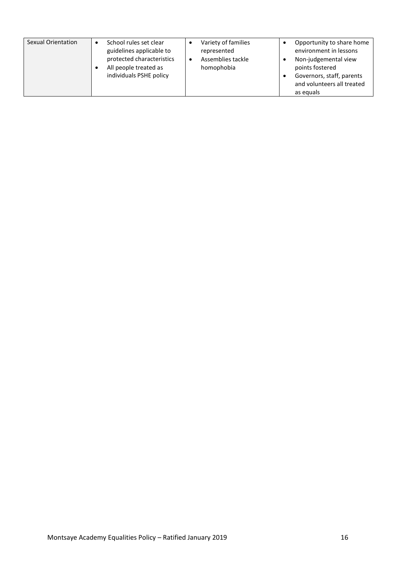| <b>Sexual Orientation</b> | School rules set clear    | Variety of families |                            |
|---------------------------|---------------------------|---------------------|----------------------------|
|                           |                           |                     | Opportunity to share home  |
|                           | guidelines applicable to  | represented         | environment in lessons     |
|                           | protected characteristics | Assemblies tackle   | Non-judgemental view       |
|                           |                           |                     |                            |
|                           | All people treated as     | homophobia          | points fostered            |
|                           | individuals PSHE policy   |                     | Governors, staff, parents  |
|                           |                           |                     | and volunteers all treated |
|                           |                           |                     | as equals                  |
|                           |                           |                     |                            |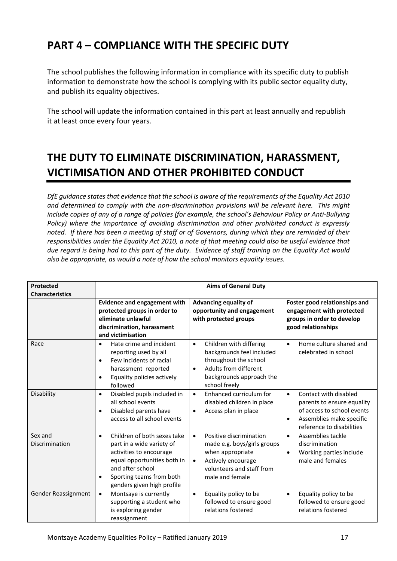# **PART 4 – COMPLIANCE WITH THE SPECIFIC DUTY**

The school publishes the following information in compliance with its specific duty to publish information to demonstrate how the school is complying with its public sector equality duty, and publish its equality objectives.

The school will update the information contained in this part at least annually and republish it at least once every four years.

# **THE DUTY TO ELIMINATE DISCRIMINATION, HARASSMENT, VICTIMISATION AND OTHER PROHIBITED CONDUCT**

*DfE guidance states that evidence that the school is aware of the requirements of the Equality Act 2010 and determined to comply with the non-discrimination provisions will be relevant here. This might include copies of any of a range of policies (for example, the school's Behaviour Policy or Anti-Bullying Policy) where the importance of avoiding discrimination and other prohibited conduct is expressly noted. If there has been a meeting of staff or of Governors, during which they are reminded of their responsibilities under the Equality Act 2010, a note of that meeting could also be useful evidence that due regard is being had to this part of the duty. Evidence of staff training on the Equality Act would also be appropriate, as would a note of how the school monitors equality issues.*

| Protected<br><b>Characteristics</b> | <b>Aims of General Duty</b>                                                                                                                                                                                   |                                                                                                                                                                               |                                                                                                                                                                      |  |  |  |
|-------------------------------------|---------------------------------------------------------------------------------------------------------------------------------------------------------------------------------------------------------------|-------------------------------------------------------------------------------------------------------------------------------------------------------------------------------|----------------------------------------------------------------------------------------------------------------------------------------------------------------------|--|--|--|
|                                     | <b>Evidence and engagement with</b><br>protected groups in order to<br>eliminate unlawful<br>discrimination, harassment<br>and victimisation                                                                  | <b>Advancing equality of</b><br>opportunity and engagement<br>with protected groups                                                                                           | Foster good relationships and<br>engagement with protected<br>groups in order to develop<br>good relationships                                                       |  |  |  |
| Race                                | Hate crime and incident<br>$\bullet$<br>reporting used by all<br>Few incidents of racial<br>$\bullet$<br>harassment reported<br>Equality policies actively<br>followed                                        | Children with differing<br>$\bullet$<br>backgrounds feel included<br>throughout the school<br>Adults from different<br>$\bullet$<br>backgrounds approach the<br>school freely | Home culture shared and<br>$\bullet$<br>celebrated in school                                                                                                         |  |  |  |
| Disability                          | Disabled pupils included in<br>$\bullet$<br>all school events<br>Disabled parents have<br>$\bullet$<br>access to all school events                                                                            | Enhanced curriculum for<br>$\bullet$<br>disabled children in place<br>Access plan in place<br>$\bullet$                                                                       | Contact with disabled<br>$\bullet$<br>parents to ensure equality<br>of access to school events<br>Assemblies make specific<br>$\bullet$<br>reference to disabilities |  |  |  |
| Sex and<br>Discrimination           | Children of both sexes take<br>$\bullet$<br>part in a wide variety of<br>activities to encourage<br>equal opportunities both in<br>and after school<br>Sporting teams from both<br>genders given high profile | Positive discrimination<br>$\bullet$<br>made e.g. boys/girls groups<br>when appropriate<br>Actively encourage<br>$\bullet$<br>volunteers and staff from<br>male and female    | Assemblies tackle<br>$\bullet$<br>discrimination<br>Working parties include<br>$\bullet$<br>male and females                                                         |  |  |  |
| Gender Reassignment                 | Montsaye is currently<br>$\bullet$<br>supporting a student who<br>is exploring gender<br>reassignment                                                                                                         | Equality policy to be<br>$\bullet$<br>followed to ensure good<br>relations fostered                                                                                           | Equality policy to be<br>$\bullet$<br>followed to ensure good<br>relations fostered                                                                                  |  |  |  |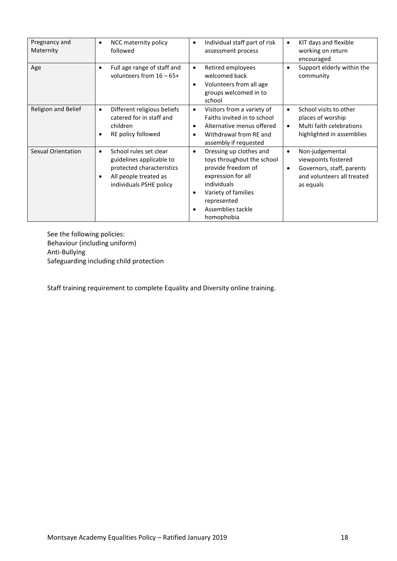| Pregnancy and<br>Maternity | NCC maternity policy<br>$\bullet$<br>followed                                                                                                         | Individual staff part of risk<br>$\bullet$<br>assessment process                                                                                                                                                         | KIT days and flexible<br>$\bullet$<br>working on return<br>encouraged                                                                    |
|----------------------------|-------------------------------------------------------------------------------------------------------------------------------------------------------|--------------------------------------------------------------------------------------------------------------------------------------------------------------------------------------------------------------------------|------------------------------------------------------------------------------------------------------------------------------------------|
| Age                        | Full age range of staff and<br>٠<br>volunteers from $16 - 65 +$                                                                                       | Retired employees<br>$\bullet$<br>welcomed back<br>Volunteers from all age<br>$\bullet$<br>groups welcomed in to<br>school                                                                                               | Support elderly within the<br>$\bullet$<br>community                                                                                     |
| Religion and Belief        | Different religious beliefs<br>$\bullet$<br>catered for in staff and<br>children<br>RE policy followed<br>٠                                           | Visitors from a variety of<br>$\bullet$<br>Faiths invited in to school<br>Alternative menus offered<br>$\bullet$<br>Withdrawal from RE and<br>٠<br>assembly if requested                                                 | School visits to other<br>places of worship<br>Multi faith celebrations<br>$\bullet$<br>highlighted in assemblies                        |
| <b>Sexual Orientation</b>  | School rules set clear<br>$\bullet$<br>guidelines applicable to<br>protected characteristics<br>All people treated as<br>٠<br>individuals PSHE policy | Dressing up clothes and<br>$\bullet$<br>toys throughout the school<br>provide freedom of<br>expression for all<br>individuals<br>Variety of families<br>٠<br>represented<br>Assemblies tackle<br>$\bullet$<br>homophobia | Non-judgemental<br>$\bullet$<br>viewpoints fostered<br>Governors, staff, parents<br>$\bullet$<br>and volunteers all treated<br>as equals |

See the following policies: Behaviour (including uniform) Anti-Bullying Safeguarding including child protection

Staff training requirement to complete Equality and Diversity online training.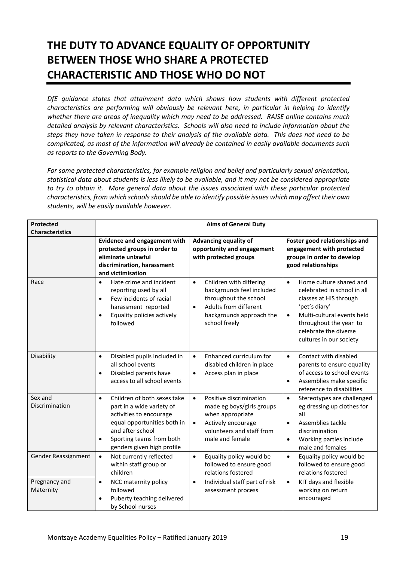# **THE DUTY TO ADVANCE EQUALITY OF OPPORTUNITY BETWEEN THOSE WHO SHARE A PROTECTED CHARACTERISTIC AND THOSE WHO DO NOT**

*DfE guidance states that attainment data which shows how students with different protected characteristics are performing will obviously be relevant here, in particular in helping to identify whether there are areas of inequality which may need to be addressed. RAISE online contains much detailed analysis by relevant characteristics. Schools will also need to include information about the steps they have taken in response to their analysis of the available data. This does not need to be complicated, as most of the information will already be contained in easily available documents such as reports to the Governing Body.* 

*For some protected characteristics, for example religion and belief and particularly sexual orientation, statistical data about students is less likely to be available, and it may not be considered appropriate to try to obtain it. More general data about the issues associated with these particular protected characteristics, from which schools should be able to identify possible issues which may affect their own students, will be easily available however.*

| Protected<br><b>Characteristics</b> | <b>Aims of General Duty</b>                                                                                                                                                                                                |                                                                                                                                                                               |                                                                                                                                                                                                                                         |  |  |  |
|-------------------------------------|----------------------------------------------------------------------------------------------------------------------------------------------------------------------------------------------------------------------------|-------------------------------------------------------------------------------------------------------------------------------------------------------------------------------|-----------------------------------------------------------------------------------------------------------------------------------------------------------------------------------------------------------------------------------------|--|--|--|
|                                     | <b>Evidence and engagement with</b><br>protected groups in order to<br>eliminate unlawful<br>discrimination, harassment<br>and victimisation                                                                               | Advancing equality of<br>opportunity and engagement<br>with protected groups                                                                                                  | Foster good relationships and<br>engagement with protected<br>groups in order to develop<br>good relationships                                                                                                                          |  |  |  |
| Race                                | Hate crime and incident<br>$\bullet$<br>reporting used by all<br>Few incidents of racial<br>$\bullet$<br>harassment reported<br>Equality policies actively<br>$\bullet$<br>followed                                        | Children with differing<br>$\bullet$<br>backgrounds feel included<br>throughout the school<br>Adults from different<br>$\bullet$<br>backgrounds approach the<br>school freely | Home culture shared and<br>$\bullet$<br>celebrated in school in all<br>classes at HIS through<br>'pet's diary'<br>Multi-cultural events held<br>$\bullet$<br>throughout the year to<br>celebrate the diverse<br>cultures in our society |  |  |  |
| Disability                          | Disabled pupils included in<br>$\bullet$<br>all school events<br>Disabled parents have<br>$\bullet$<br>access to all school events                                                                                         | Enhanced curriculum for<br>$\bullet$<br>disabled children in place<br>Access plan in place<br>$\bullet$                                                                       | Contact with disabled<br>$\bullet$<br>parents to ensure equality<br>of access to school events<br>Assemblies make specific<br>$\bullet$<br>reference to disabilities                                                                    |  |  |  |
| Sex and<br>Discrimination           | Children of both sexes take<br>$\bullet$<br>part in a wide variety of<br>activities to encourage<br>equal opportunities both in<br>and after school<br>Sporting teams from both<br>$\bullet$<br>genders given high profile | $\bullet$<br>Positive discrimination<br>made eg boys/girls groups<br>when appropriate<br>Actively encourage<br>$\bullet$<br>volunteers and staff from<br>male and female      | Stereotypes are challenged<br>$\bullet$<br>eg dressing up clothes for<br>all<br>Assemblies tackle<br>$\bullet$<br>discrimination<br>Working parties include<br>$\bullet$<br>male and females                                            |  |  |  |
| Gender Reassignment                 | Not currently reflected<br>$\bullet$<br>within staff group or<br>children                                                                                                                                                  | Equality policy would be<br>$\bullet$<br>followed to ensure good<br>relations fostered                                                                                        | Equality policy would be<br>$\bullet$<br>followed to ensure good<br>relations fostered                                                                                                                                                  |  |  |  |
| Pregnancy and<br>Maternity          | NCC maternity policy<br>$\bullet$<br>followed<br>Puberty teaching delivered<br>$\bullet$<br>by School nurses                                                                                                               | Individual staff part of risk<br>$\bullet$<br>assessment process                                                                                                              | KIT days and flexible<br>$\bullet$<br>working on return<br>encouraged                                                                                                                                                                   |  |  |  |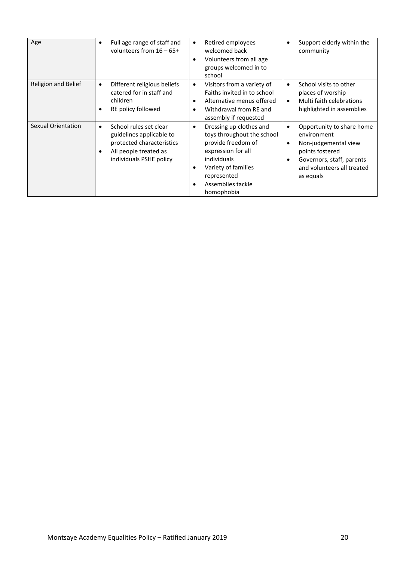| Age                 | Full age range of staff and<br>$\bullet$<br>volunteers from $16 - 65 +$                                                                                       | Retired employees<br>$\bullet$<br>welcomed back<br>Volunteers from all age<br>٠<br>groups welcomed in to<br>school                                                                                                  | Support elderly within the<br>community                                                                                                                                                            |
|---------------------|---------------------------------------------------------------------------------------------------------------------------------------------------------------|---------------------------------------------------------------------------------------------------------------------------------------------------------------------------------------------------------------------|----------------------------------------------------------------------------------------------------------------------------------------------------------------------------------------------------|
| Religion and Belief | Different religious beliefs<br>$\bullet$<br>catered for in staff and<br>children<br>RE policy followed<br>٠                                                   | Visitors from a variety of<br>$\bullet$<br>Faiths invited in to school<br>Alternative menus offered<br>$\bullet$<br>Withdrawal from RE and<br>$\bullet$<br>assembly if requested                                    | School visits to other<br>$\bullet$<br>places of worship<br>Multi faith celebrations<br>$\bullet$<br>highlighted in assemblies                                                                     |
| Sexual Orientation  | School rules set clear<br>$\bullet$<br>guidelines applicable to<br>protected characteristics<br>All people treated as<br>$\bullet$<br>individuals PSHE policy | Dressing up clothes and<br>$\bullet$<br>toys throughout the school<br>provide freedom of<br>expression for all<br>individuals<br>Variety of families<br>$\bullet$<br>represented<br>Assemblies tackle<br>homophobia | Opportunity to share home<br>$\bullet$<br>environment<br>Non-judgemental view<br>$\bullet$<br>points fostered<br>Governors, staff, parents<br>$\bullet$<br>and volunteers all treated<br>as equals |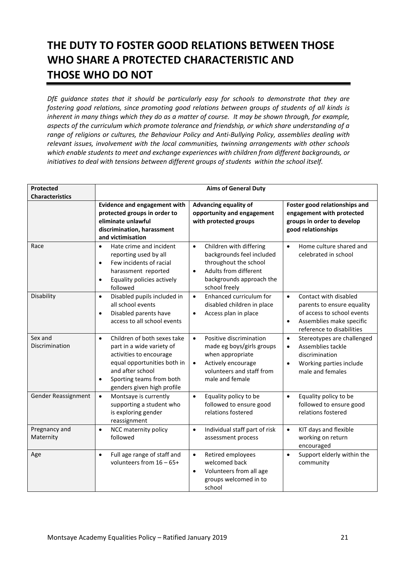# **THE DUTY TO FOSTER GOOD RELATIONS BETWEEN THOSE WHO SHARE A PROTECTED CHARACTERISTIC AND THOSE WHO DO NOT**

*DfE guidance states that it should be particularly easy for schools to demonstrate that they are fostering good relations, since promoting good relations between groups of students of all kinds is*  inherent in many things which they do as a matter of course. It may be shown through, for example, *aspects of the curriculum which promote tolerance and friendship, or which share understanding of a range of religions or cultures, the Behaviour Policy and Anti-Bullying Policy, assemblies dealing with relevant issues, involvement with the local communities, twinning arrangements with other schools which enable students to meet and exchange experiences with children from different backgrounds, or initiatives to deal with tensions between different groups of students within the school itself.*

| <b>Protected</b><br><b>Characteristics</b> | <b>Aims of General Duty</b>                                                                                                                                                                                                |                                                                                                                                                                               |                                                                                                                                                                      |  |  |  |
|--------------------------------------------|----------------------------------------------------------------------------------------------------------------------------------------------------------------------------------------------------------------------------|-------------------------------------------------------------------------------------------------------------------------------------------------------------------------------|----------------------------------------------------------------------------------------------------------------------------------------------------------------------|--|--|--|
|                                            | <b>Evidence and engagement with</b><br>protected groups in order to<br>eliminate unlawful<br>discrimination, harassment<br>and victimisation                                                                               | <b>Advancing equality of</b><br>opportunity and engagement<br>with protected groups                                                                                           | Foster good relationships and<br>engagement with protected<br>groups in order to develop<br>good relationships                                                       |  |  |  |
| Race                                       | Hate crime and incident<br>$\bullet$<br>reporting used by all<br>Few incidents of racial<br>$\bullet$<br>harassment reported<br>Equality policies actively<br>$\bullet$<br>followed                                        | Children with differing<br>$\bullet$<br>backgrounds feel included<br>throughout the school<br>Adults from different<br>$\bullet$<br>backgrounds approach the<br>school freely | Home culture shared and<br>$\bullet$<br>celebrated in school                                                                                                         |  |  |  |
| Disability                                 | Disabled pupils included in<br>$\bullet$<br>all school events<br>Disabled parents have<br>$\bullet$<br>access to all school events                                                                                         | Enhanced curriculum for<br>$\bullet$<br>disabled children in place<br>Access plan in place<br>$\bullet$                                                                       | Contact with disabled<br>$\bullet$<br>parents to ensure equality<br>of access to school events<br>Assemblies make specific<br>$\bullet$<br>reference to disabilities |  |  |  |
| Sex and<br>Discrimination                  | Children of both sexes take<br>$\bullet$<br>part in a wide variety of<br>activities to encourage<br>equal opportunities both in<br>and after school<br>Sporting teams from both<br>$\bullet$<br>genders given high profile | Positive discrimination<br>$\bullet$<br>made eg boys/girls groups<br>when appropriate<br>Actively encourage<br>$\bullet$<br>volunteers and staff from<br>male and female      | Stereotypes are challenged<br>$\bullet$<br>Assemblies tackle<br>$\bullet$<br>discrimination<br>Working parties include<br>$\bullet$<br>male and females              |  |  |  |
| Gender Reassignment                        | Montsaye is currently<br>$\bullet$<br>supporting a student who<br>is exploring gender<br>reassignment                                                                                                                      | Equality policy to be<br>$\bullet$<br>followed to ensure good<br>relations fostered                                                                                           | Equality policy to be<br>$\bullet$<br>followed to ensure good<br>relations fostered                                                                                  |  |  |  |
| Pregnancy and<br>Maternity                 | NCC maternity policy<br>$\bullet$<br>followed                                                                                                                                                                              | Individual staff part of risk<br>$\bullet$<br>assessment process                                                                                                              | KIT days and flexible<br>$\bullet$<br>working on return<br>encouraged                                                                                                |  |  |  |
| Age                                        | Full age range of staff and<br>$\bullet$<br>volunteers from $16 - 65 +$                                                                                                                                                    | Retired employees<br>$\bullet$<br>welcomed back<br>Volunteers from all age<br>$\bullet$<br>groups welcomed in to<br>school                                                    | Support elderly within the<br>$\bullet$<br>community                                                                                                                 |  |  |  |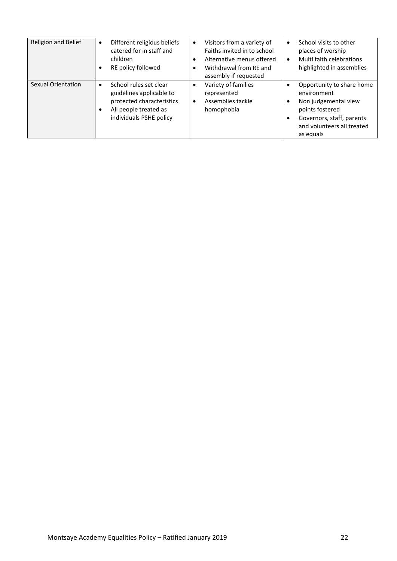| Religion and Belief | Different religious beliefs<br>$\bullet$<br>catered for in staff and<br>children<br>RE policy followed                                           | Visitors from a variety of<br>$\bullet$<br>Faiths invited in to school<br>Alternative menus offered<br>Withdrawal from RE and<br>assembly if requested | School visits to other<br>$\bullet$<br>places of worship<br>Multi faith celebrations<br>highlighted in assemblies                                           |
|---------------------|--------------------------------------------------------------------------------------------------------------------------------------------------|--------------------------------------------------------------------------------------------------------------------------------------------------------|-------------------------------------------------------------------------------------------------------------------------------------------------------------|
| Sexual Orientation  | School rules set clear<br>$\bullet$<br>guidelines applicable to<br>protected characteristics<br>All people treated as<br>individuals PSHE policy | Variety of families<br>represented<br>Assemblies tackle<br>homophobia                                                                                  | Opportunity to share home<br>environment<br>Non judgemental view<br>points fostered<br>Governors, staff, parents<br>and volunteers all treated<br>as equals |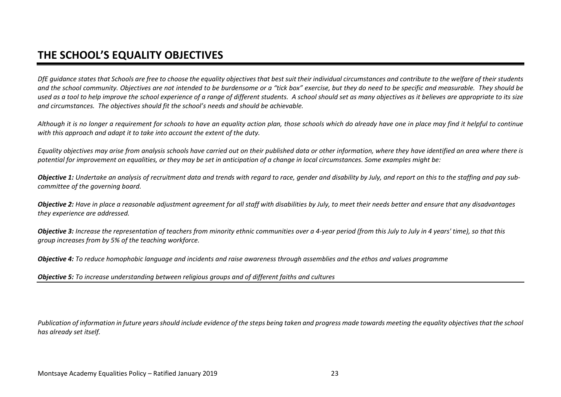# **THE SCHOOL'S EQUALITY OBJECTIVES**

*DfE guidance states that Schools are free to choose the equality objectives that best suit their individual circumstances and contribute to the welfare of their students and the school community. Objectives are not intended to be burdensome or a "tick box" exercise, but they do need to be specific and measurable. They should be used as a tool to help improve the school experience of a range of different students. A school should set as many objectives as it believes are appropriate to its size and circumstances. The objectives should fit the school's needs and should be achievable.* 

*Although it is no longer a requirement for schools to have an equality action plan, those schools which do already have one in place may find it helpful to continue with this approach and adapt it to take into account the extent of the duty.* 

*Equality objectives may arise from analysis schools have carried out on their published data or other information, where they have identified an area where there is potential for improvement on equalities, or they may be set in anticipation of a change in local circumstances. Some examples might be:*

**Objective 1:** Undertake an analysis of recruitment data and trends with regard to race, gender and disability by July, and report on this to the staffing and pay sub*committee of the governing board.*

*Objective 2: Have in place a reasonable adjustment agreement for all staff with disabilities by July, to meet their needs better and ensure that any disadvantages they experience are addressed.*

*Objective 3: Increase the representation of teachers from minority ethnic communities over a 4-year period (from this July to July in 4 years' time), so that this group increases from by 5% of the teaching workforce.*

*Objective 4: To reduce homophobic language and incidents and raise awareness through assemblies and the ethos and values programme* 

*Objective 5: To increase understanding between religious groups and of different faiths and cultures* 

*Publication of information in future years should include evidence of the steps being taken and progress made towards meeting the equality objectives that the school has already set itself.*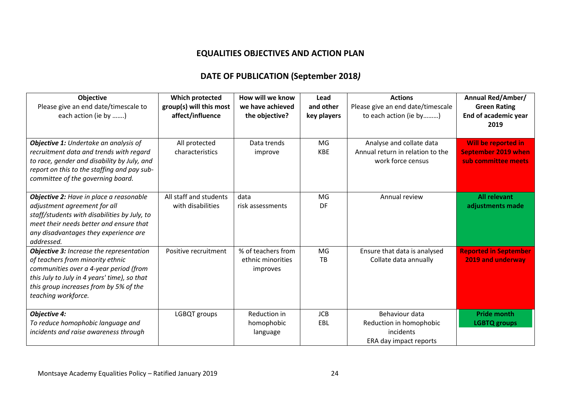#### **EQUALITIES OBJECTIVES AND ACTION PLAN**

#### **DATE OF PUBLICATION (September 2018***)*

| <b>Objective</b><br>Please give an end date/timescale to<br>each action (ie by )                                                                                                                                                               | <b>Which protected</b><br>group(s) will this most<br>affect/influence | How will we know<br>we have achieved<br>the objective? | Lead<br>and other<br>key players | <b>Actions</b><br>Please give an end date/timescale<br>to each action (ie by)     | <b>Annual Red/Amber/</b><br><b>Green Rating</b><br>End of academic year<br>2019 |
|------------------------------------------------------------------------------------------------------------------------------------------------------------------------------------------------------------------------------------------------|-----------------------------------------------------------------------|--------------------------------------------------------|----------------------------------|-----------------------------------------------------------------------------------|---------------------------------------------------------------------------------|
| <b>Objective 1:</b> Undertake an analysis of<br>recruitment data and trends with regard<br>to race, gender and disability by July, and<br>report on this to the staffing and pay sub-<br>committee of the governing board.                     | All protected<br>characteristics                                      | Data trends<br>improve                                 | MG<br><b>KBE</b>                 | Analyse and collate data<br>Annual return in relation to the<br>work force census | Will be reported in<br><b>September 2019 when</b><br>sub committee meets        |
| Objective 2: Have in place a reasonable<br>adjustment agreement for all<br>staff/students with disabilities by July, to<br>meet their needs better and ensure that<br>any disadvantages they experience are<br>addressed.                      | All staff and students<br>with disabilities                           | data<br>risk assessments                               | MG<br>DF                         | Annual review                                                                     | <b>All relevant</b><br>adjustments made                                         |
| <b>Objective 3: Increase the representation</b><br>of teachers from minority ethnic<br>communities over a 4-year period (from<br>this July to July in 4 years' time), so that<br>this group increases from by 5% of the<br>teaching workforce. | Positive recruitment                                                  | % of teachers from<br>ethnic minorities<br>improves    | MG<br><b>TB</b>                  | Ensure that data is analysed<br>Collate data annually                             | <b>Reported in September</b><br>2019 and underway                               |
| <b>Objective 4:</b><br>To reduce homophobic language and<br>incidents and raise awareness through                                                                                                                                              | LGBQT groups                                                          | Reduction in<br>homophobic<br>language                 | <b>JCB</b><br>EBL                | Behaviour data<br>Reduction in homophobic<br>incidents<br>ERA day impact reports  | <b>Pride month</b><br><b>LGBTQ</b> groups                                       |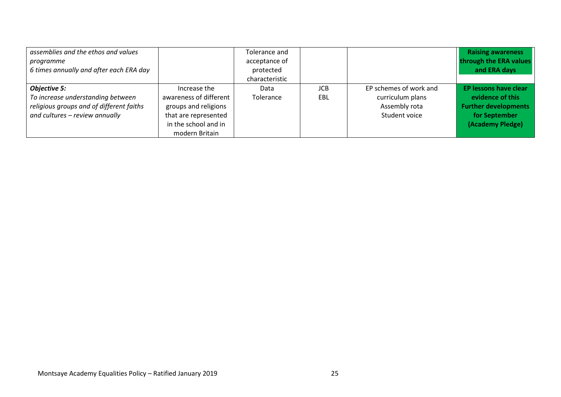| assemblies and the ethos and values      |                        | Tolerance and  |            |                        | <b>Raising awareness</b>     |
|------------------------------------------|------------------------|----------------|------------|------------------------|------------------------------|
| programme                                |                        | acceptance of  |            |                        | through the ERA values       |
| 6 times annually and after each ERA day  |                        | protected      |            |                        | and ERA days                 |
|                                          |                        | characteristic |            |                        |                              |
| <b>Objective 5:</b>                      | Increase the           | Data           | <b>JCB</b> | EP schemes of work and | <b>EP lessons have clear</b> |
| To increase understanding between        | awareness of different | Tolerance      | EBL        | curriculum plans       | evidence of this             |
| religious groups and of different faiths | groups and religions   |                |            | Assembly rota          | <b>Further developments</b>  |
| and cultures - review annually           | that are represented   |                |            | Student voice          | for September                |
|                                          | in the school and in   |                |            |                        | (Academy Pledge)             |
|                                          | modern Britain         |                |            |                        |                              |